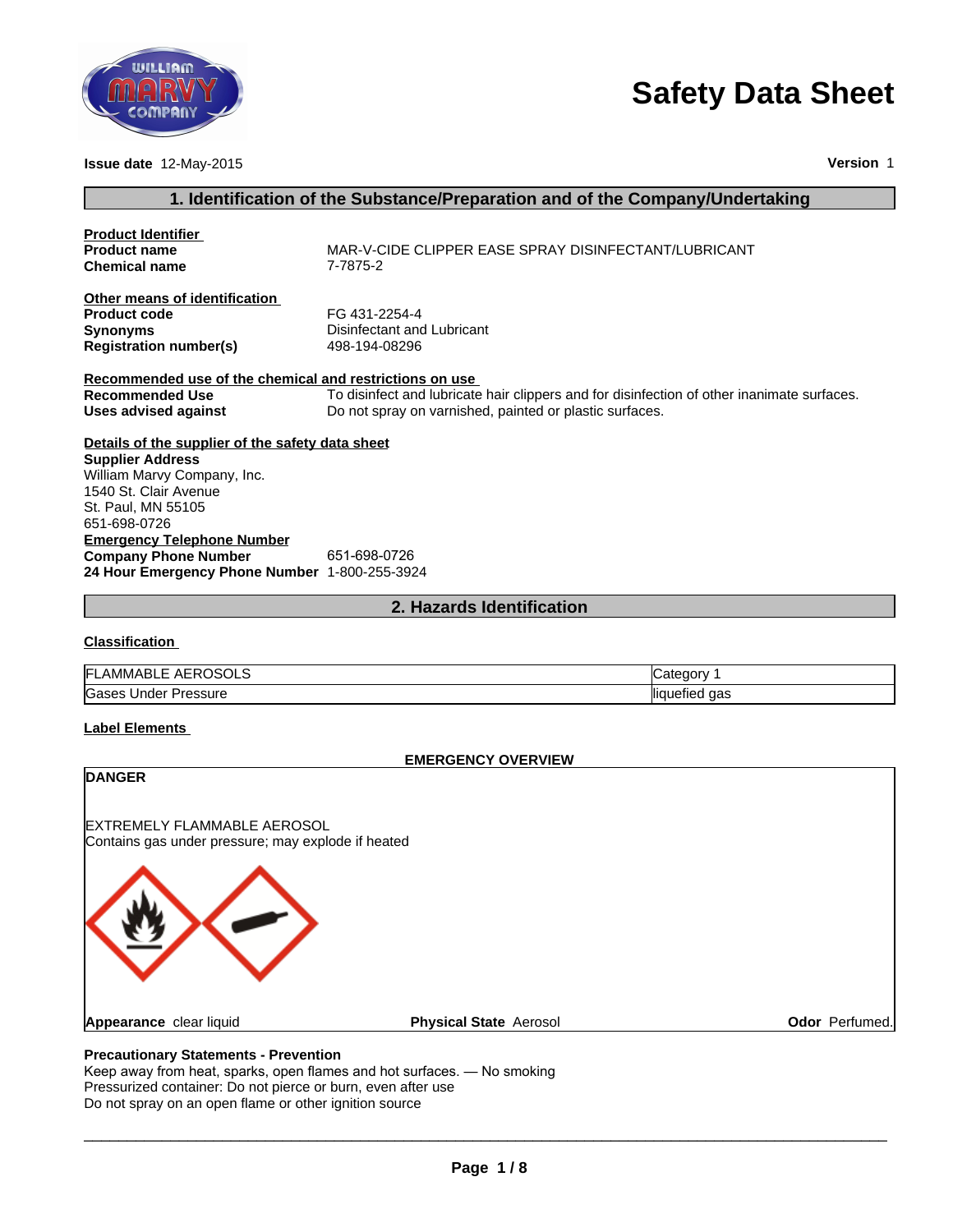

# **Safety Data Sheet**

| INILLIAM                                                         |                                                                                            |
|------------------------------------------------------------------|--------------------------------------------------------------------------------------------|
|                                                                  | <b>Safety Data Sheet</b>                                                                   |
|                                                                  |                                                                                            |
|                                                                  | <b>Version 1</b>                                                                           |
| Issue date 12-May-2015                                           |                                                                                            |
|                                                                  | 1. Identification of the Substance/Preparation and of the Company/Undertaking              |
| <b>Product Identifier</b>                                        |                                                                                            |
| <b>Product name</b><br><b>Chemical name</b>                      | MAR-V-CIDE CLIPPER EASE SPRAY DISINFECTANT/LUBRICANT<br>7-7875-2                           |
| Other means of identification                                    |                                                                                            |
| <b>Product code</b>                                              | FG 431-2254-4                                                                              |
| <b>Synonyms</b><br><b>Registration number(s)</b>                 | Disinfectant and Lubricant<br>498-194-08296                                                |
| Recommended use of the chemical and restrictions on use          |                                                                                            |
| <b>Recommended Use</b>                                           | To disinfect and lubricate hair clippers and for disinfection of other inanimate surfaces. |
| <b>Uses advised against</b>                                      | Do not spray on varnished, painted or plastic surfaces.                                    |
| Details of the supplier of the safety data sheet                 |                                                                                            |
| <b>Supplier Address</b><br>William Marvy Company, Inc.           |                                                                                            |
| 1540 St. Clair Avenue                                            |                                                                                            |
| St. Paul, MN 55105                                               |                                                                                            |
| 651-698-0726                                                     |                                                                                            |
| <b>Emergency Telephone Number</b><br><b>Company Phone Number</b> | 651-698-0726                                                                               |
| 24 Hour Emergency Phone Number 1-800-255-3924                    |                                                                                            |
|                                                                  | 2. Hazards Identification                                                                  |
| <b>Classification</b>                                            |                                                                                            |
| FI AMMARI E AFROSOLS                                             | Category 1                                                                                 |

# **Classification**

| EROSOLS<br>FI<br>AMMABLE<br><b>AFRI</b><br>- | $\sim$ $\sim$ $\sim$ $\sim$ $\sim$<br>ינ<br>ונזו<br>. . |
|----------------------------------------------|---------------------------------------------------------|
| Gases<br>Under '<br>Pressure                 | <br>aas<br>llıaı<br>непес                               |

# **Label Elements**

#### **EMERGENCY OVERVIEW**

| <b>DANGER</b>                                                                            |                               |                |
|------------------------------------------------------------------------------------------|-------------------------------|----------------|
| <b>EXTREMELY FLAMMABLE AEROSOL</b><br>Contains gas under pressure; may explode if heated |                               |                |
|                                                                                          |                               |                |
| Appearance clear liquid                                                                  | <b>Physical State Aerosol</b> | Odor Perfumed. |
| <b>Precautionary Statements - Prevention</b>                                             |                               |                |

 $\Box \rightarrow \Box \rightarrow \Box$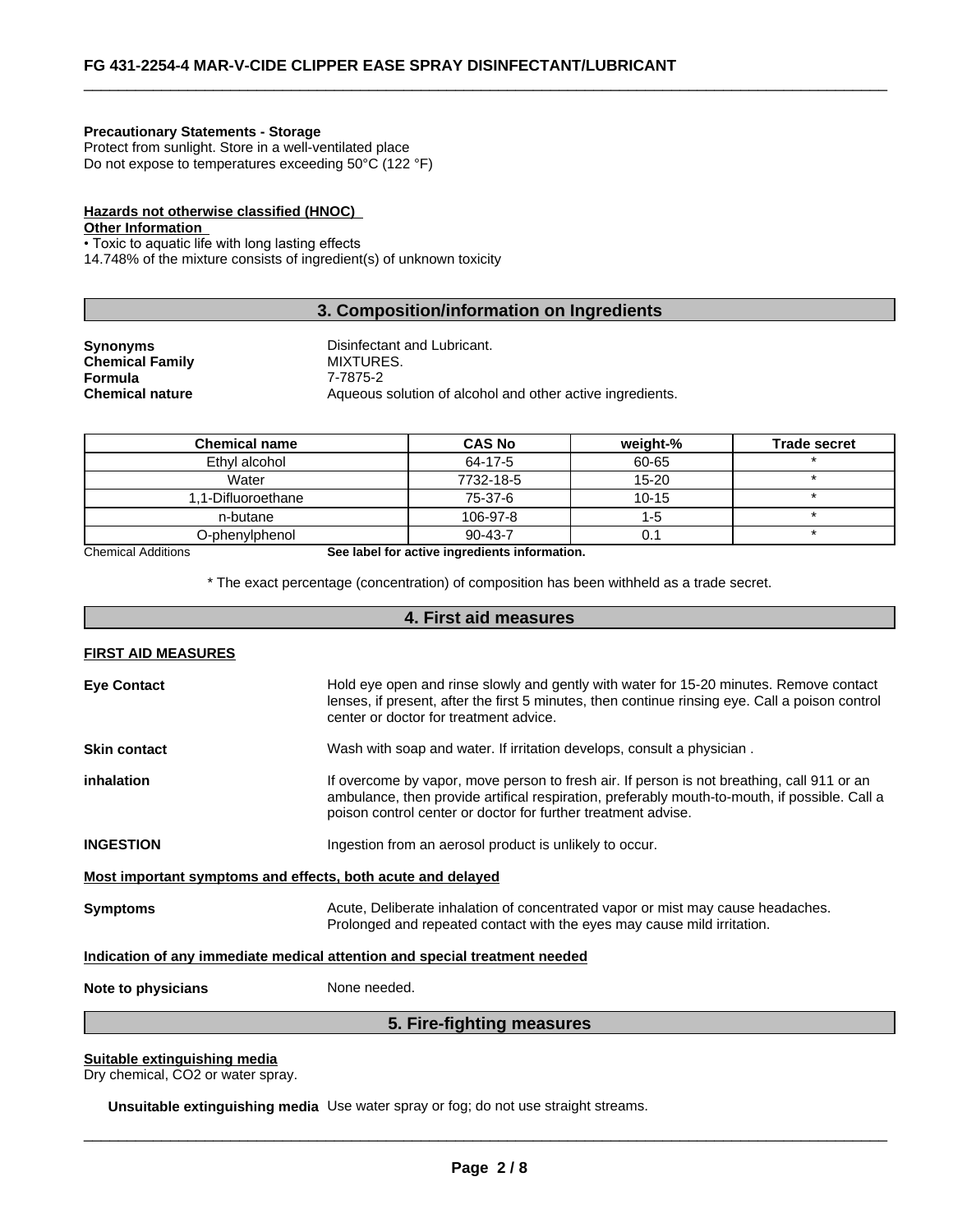#### **Precautionary Statements - Storage**

Protect from sunlight. Store in a well-ventilated place Do not expose to temperatures exceeding 50°C (122 °F)

# **Hazards not otherwise classified (HNOC)**

**Other Information** 

• Toxic to aquatic life with long lasting effects

14.748% of the mixture consists of ingredient(s) of unknown toxicity

# **3. Composition/information on Ingredients**

 $\overline{\phantom{a}}$  ,  $\overline{\phantom{a}}$  ,  $\overline{\phantom{a}}$  ,  $\overline{\phantom{a}}$  ,  $\overline{\phantom{a}}$  ,  $\overline{\phantom{a}}$  ,  $\overline{\phantom{a}}$  ,  $\overline{\phantom{a}}$  ,  $\overline{\phantom{a}}$  ,  $\overline{\phantom{a}}$  ,  $\overline{\phantom{a}}$  ,  $\overline{\phantom{a}}$  ,  $\overline{\phantom{a}}$  ,  $\overline{\phantom{a}}$  ,  $\overline{\phantom{a}}$  ,  $\overline{\phantom{a}}$ 

| Synonyms        | Disinfectant and Lubricant.                               |
|-----------------|-----------------------------------------------------------|
| Chemical Family | MIXTURES.                                                 |
| Formula         | 7-7875-2                                                  |
| Chemical nature | Aqueous solution of alcohol and other active ingredients. |
|                 |                                                           |

| <b>Chemical name</b> | <b>CAS No</b> | weight-%  | <b>Trade secret</b> |
|----------------------|---------------|-----------|---------------------|
| Ethyl alcohol        | 64-17-5       | 60-65     |                     |
| Water                | 7732-18-5     | $15 - 20$ |                     |
| 1.1-Difluoroethane   | 75-37-6       | $10 - 15$ |                     |
| n-butane             | 106-97-8      | 1-5       |                     |
| O-phenylphenol       | $90 - 43 - 7$ |           |                     |

Chemical Additions **See label for active ingredients information.**

\* The exact percentage (concentration) of composition has been withheld as a trade secret.

# **4. First aid measures**

#### **FIRST AID MEASURES**

| <b>Eye Contact</b><br>Hold eye open and rinse slowly and gently with water for 15-20 minutes. Remove contact<br>lenses, if present, after the first 5 minutes, then continue rinsing eye. Call a poison control<br>center or doctor for treatment advice. |                                                                                                                                                                                                                                                              |  |  |
|-----------------------------------------------------------------------------------------------------------------------------------------------------------------------------------------------------------------------------------------------------------|--------------------------------------------------------------------------------------------------------------------------------------------------------------------------------------------------------------------------------------------------------------|--|--|
| <b>Skin contact</b>                                                                                                                                                                                                                                       | Wash with soap and water. If irritation develops, consult a physician.                                                                                                                                                                                       |  |  |
| inhalation                                                                                                                                                                                                                                                | If overcome by vapor, move person to fresh air. If person is not breathing, call 911 or an<br>ambulance, then provide artifical respiration, preferably mouth-to-mouth, if possible. Call a<br>poison control center or doctor for further treatment advise. |  |  |
| <b>INGESTION</b>                                                                                                                                                                                                                                          | Ingestion from an aerosol product is unlikely to occur.                                                                                                                                                                                                      |  |  |
| Most important symptoms and effects, both acute and delayed                                                                                                                                                                                               |                                                                                                                                                                                                                                                              |  |  |
| <b>Symptoms</b>                                                                                                                                                                                                                                           | Acute, Deliberate inhalation of concentrated vapor or mist may cause headaches.<br>Prolonged and repeated contact with the eyes may cause mild irritation.                                                                                                   |  |  |
| Indication of any immediate medical attention and special treatment needed                                                                                                                                                                                |                                                                                                                                                                                                                                                              |  |  |
| None needed.<br>Note to physicians                                                                                                                                                                                                                        |                                                                                                                                                                                                                                                              |  |  |

# **5. Fire-fighting measures**

#### **Suitable extinguishing media**

Dry chemical, CO2 or water spray.

**Unsuitable extinguishing media** Use water spray or fog; do not use straight streams.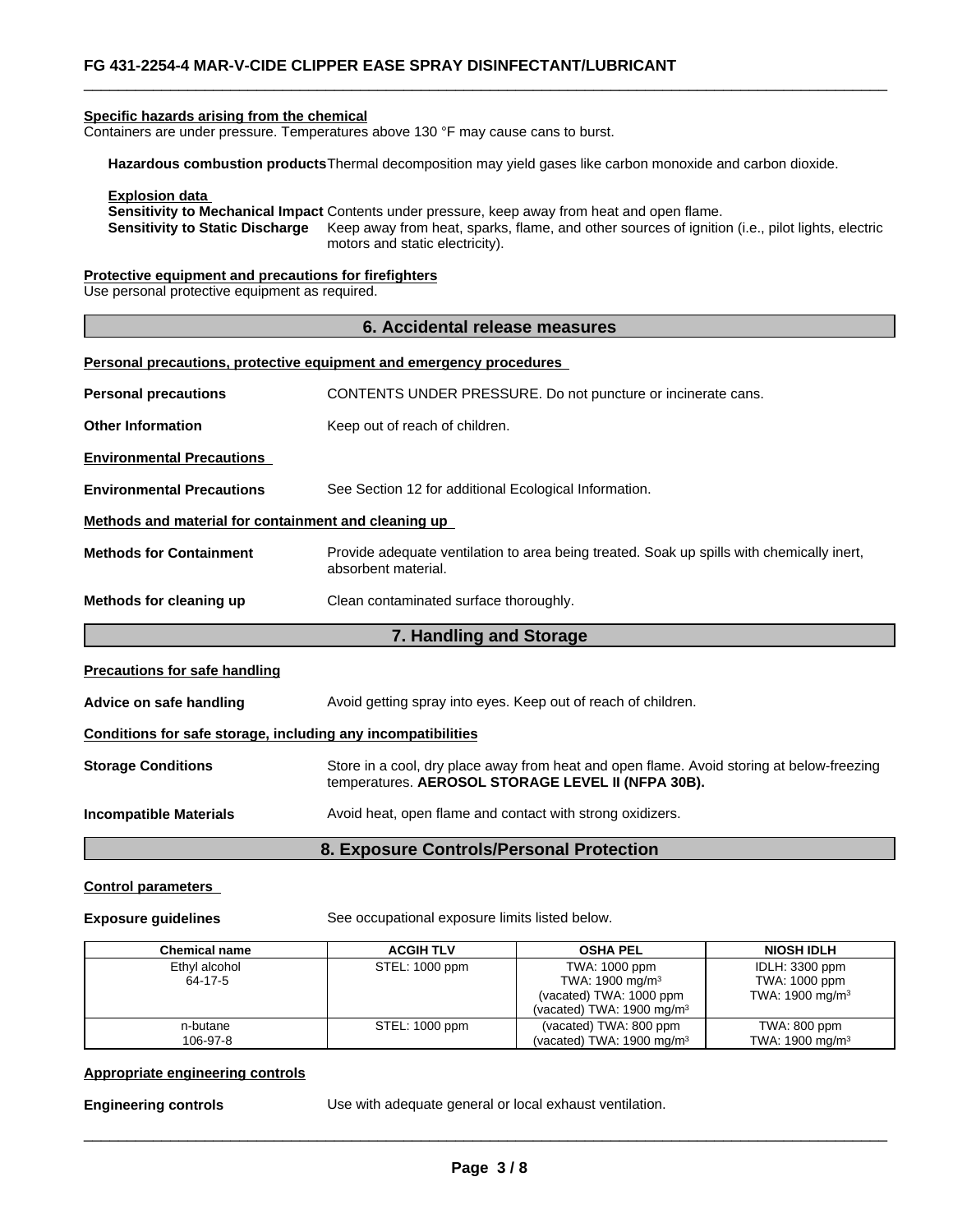#### **Specific hazards arising from the chemical**

Containers are under pressure. Temperatures above 130 °F may cause cans to burst.

**Hazardous combustion products**Thermal decomposition may yield gases like carbon monoxide and carbon dioxide.

**Explosion data** 

**Sensitivity to Mechanical Impact** Contents under pressure, keep away from heat and open flame. **Sensitivity to Static Discharge** Keep away from heat, sparks, flame, and other sources of ignition (i.e., pilot lights, electric motors and static electricity).

 $\overline{\phantom{a}}$  ,  $\overline{\phantom{a}}$  ,  $\overline{\phantom{a}}$  ,  $\overline{\phantom{a}}$  ,  $\overline{\phantom{a}}$  ,  $\overline{\phantom{a}}$  ,  $\overline{\phantom{a}}$  ,  $\overline{\phantom{a}}$  ,  $\overline{\phantom{a}}$  ,  $\overline{\phantom{a}}$  ,  $\overline{\phantom{a}}$  ,  $\overline{\phantom{a}}$  ,  $\overline{\phantom{a}}$  ,  $\overline{\phantom{a}}$  ,  $\overline{\phantom{a}}$  ,  $\overline{\phantom{a}}$ 

**Protective equipment and precautions for firefighters**

Use personal protective equipment as required.

| 6. Accidental release measures                                                                                                                                               |                                                                            |  |  |  |
|------------------------------------------------------------------------------------------------------------------------------------------------------------------------------|----------------------------------------------------------------------------|--|--|--|
|                                                                                                                                                                              | <b>Personal precautions, protective equipment and emergency procedures</b> |  |  |  |
| CONTENTS UNDER PRESSURE. Do not puncture or incinerate cans.<br><b>Personal precautions</b>                                                                                  |                                                                            |  |  |  |
| <b>Other Information</b>                                                                                                                                                     | Keep out of reach of children.                                             |  |  |  |
| <b>Environmental Precautions</b>                                                                                                                                             |                                                                            |  |  |  |
| <b>Environmental Precautions</b><br>See Section 12 for additional Ecological Information.                                                                                    |                                                                            |  |  |  |
| Methods and material for containment and cleaning up                                                                                                                         |                                                                            |  |  |  |
| <b>Methods for Containment</b><br>Provide adequate ventilation to area being treated. Soak up spills with chemically inert,<br>absorbent material.                           |                                                                            |  |  |  |
| Methods for cleaning up                                                                                                                                                      | Clean contaminated surface thoroughly.                                     |  |  |  |
|                                                                                                                                                                              | 7. Handling and Storage                                                    |  |  |  |
| <b>Precautions for safe handling</b>                                                                                                                                         |                                                                            |  |  |  |
| Avoid getting spray into eyes. Keep out of reach of children.<br>Advice on safe handling                                                                                     |                                                                            |  |  |  |
| Conditions for safe storage, including any incompatibilities                                                                                                                 |                                                                            |  |  |  |
| Store in a cool, dry place away from heat and open flame. Avoid storing at below-freezing<br><b>Storage Conditions</b><br>temperatures. AEROSOL STORAGE LEVEL II (NFPA 30B). |                                                                            |  |  |  |
| <b>Incompatible Materials</b>                                                                                                                                                | Avoid heat, open flame and contact with strong oxidizers.                  |  |  |  |
|                                                                                                                                                                              | $\sim$ $ \sim$                                                             |  |  |  |

# **8. Exposure Controls/Personal Protection**

#### **Control parameters**

**Exposure guidelines** See occupational exposure limits listed below.

| <b>Chemical name</b>     | <b>ACGIH TLV</b> | <b>OSHA PEL</b>                                                                                                | <b>NIOSH IDLH</b>                                              |
|--------------------------|------------------|----------------------------------------------------------------------------------------------------------------|----------------------------------------------------------------|
| Ethyl alcohol<br>64-17-5 | STEL: 1000 ppm   | TWA: 1000 ppm<br>TWA: $1900 \text{ mg/m}^3$<br>(vacated) TWA: 1000 ppm<br>(vacated) TWA: $1900 \text{ mg/m}^3$ | IDLH: 3300 ppm<br>TWA: 1000 ppm<br>TWA: 1900 mg/m <sup>3</sup> |
| n-butane<br>106-97-8     | STEL: 1000 ppm   | (vacated) TWA: 800 ppm<br>(vacated) TWA: 1900 mg/m <sup>3</sup>                                                | TWA: 800 ppm<br>TWA: 1900 mg/m <sup>3</sup>                    |

#### **Appropriate engineering controls**

**Engineering controls** Use with adequate general or local exhaust ventilation.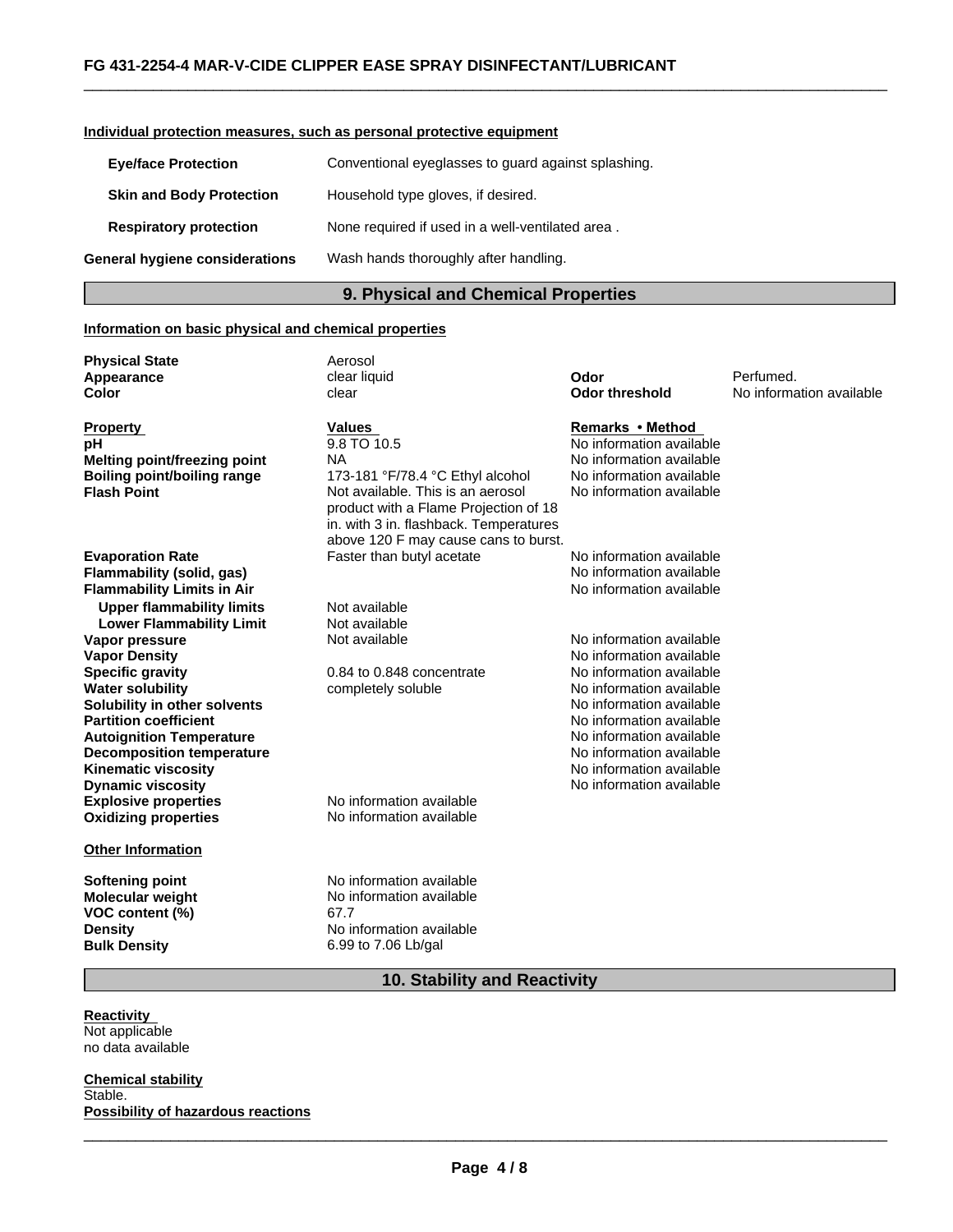#### **Individual protection measures, such as personal protective equipment**

| <b>Eye/face Protection</b>      | Conventional eyeglasses to guard against splashing. |
|---------------------------------|-----------------------------------------------------|
| <b>Skin and Body Protection</b> | Household type gloves, if desired.                  |
| <b>Respiratory protection</b>   | None required if used in a well-ventilated area.    |
| General hygiene considerations  | Wash hands thoroughly after handling.               |

#### **9. Physical and Chemical Properties**

 $\overline{\phantom{a}}$  ,  $\overline{\phantom{a}}$  ,  $\overline{\phantom{a}}$  ,  $\overline{\phantom{a}}$  ,  $\overline{\phantom{a}}$  ,  $\overline{\phantom{a}}$  ,  $\overline{\phantom{a}}$  ,  $\overline{\phantom{a}}$  ,  $\overline{\phantom{a}}$  ,  $\overline{\phantom{a}}$  ,  $\overline{\phantom{a}}$  ,  $\overline{\phantom{a}}$  ,  $\overline{\phantom{a}}$  ,  $\overline{\phantom{a}}$  ,  $\overline{\phantom{a}}$  ,  $\overline{\phantom{a}}$ 

#### **Information on basic physical and chemical properties**

**Physical State Aerosol Explosive properties** No information available **Oxidizing properties** No information available **Other Information Softening point No information available**<br> **Molecular weight No information available Molecular weight VOC content (%)** 67.7<br>**Density** No ii **No information available Bulk Density** 6.99 to 7.06 Lb/gal **Specific gravity** 0.84 to 0.848 concentrate No information available No information available **Odor threshold** No information available **Water solubility**<br> **Water solubility** in other solvents<br> **Solubility** in other solvents<br> **Solubility** in other solvents **Boiling point/boiling range** No information available 173-181 °F/78.4 °C Ethyl alcohol **Solubility in other solvents** No information available **Partition coefficient** No information available **Autoignition Temperature Flash Point** Not available. This is an aerosol product with a Flame Projection of 18 in. with 3 in. flashback. Temperatures above 120 F may cause cans to burst. No information available **Decomposition temperature Odor** No information available No information available **Kinematic viscosity** Perfumed. No information available **Evaporation Rate Dynamic viscosity** Faster than butyl acetate **Faster than butyl acetate No information available** No information available **Property Values** No information available **Flammability (solid, gas)** No information available<br> **Flammability I imits in Air** No information available **Remarks•Method Flammability Limits in Air pH Upper flammability limits** Not available 9.8 TO 10.5 **Color** clear clear clear **Lower Flammability Limit** Not available<br>**Not available** Not available No information available **Vapor pressure Appearance** No information available **Melting point/freezing point** NA **Vapor Density** clear liquid No information available

# **10. Stability and Reactivity**

**Reactivity**  Not applicable no data available

**Chemical stability** Stable. **Possibility of hazardous reactions**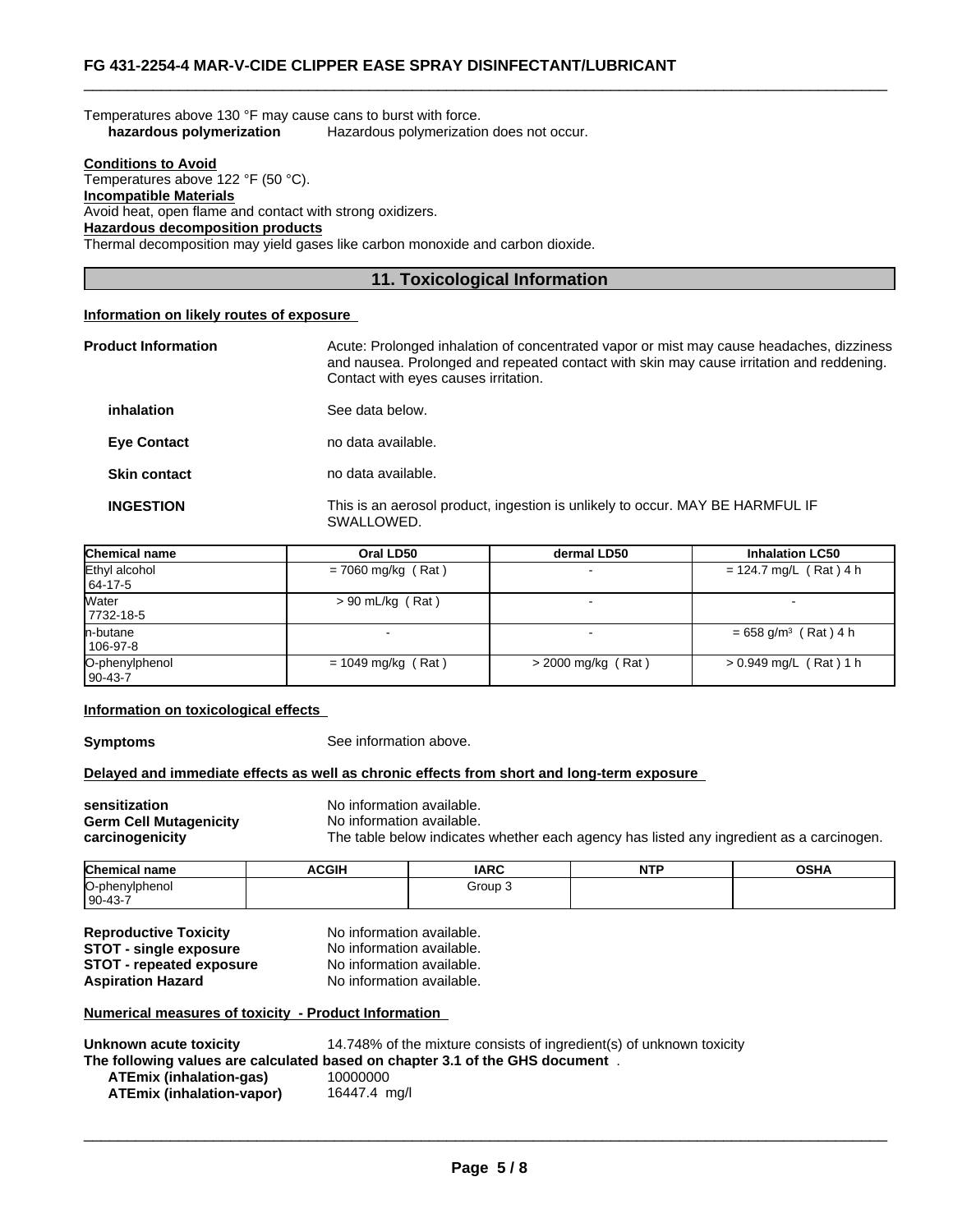| Temperatures above 130 °F may cause cans to burst with force. |                                          |
|---------------------------------------------------------------|------------------------------------------|
| hazardous polymerization                                      | Hazardous polymerization does not occur. |

#### **Conditions to Avoid** Temperatures above 122 °F (50 °C). **Incompatible Materials**

Avoid heat, open flame and contact with strong oxidizers.

**Hazardous decomposition products**

Thermal decomposition may yield gases like carbon monoxide and carbon dioxide.

# **11. Toxicological Information**

 $\overline{\phantom{a}}$  ,  $\overline{\phantom{a}}$  ,  $\overline{\phantom{a}}$  ,  $\overline{\phantom{a}}$  ,  $\overline{\phantom{a}}$  ,  $\overline{\phantom{a}}$  ,  $\overline{\phantom{a}}$  ,  $\overline{\phantom{a}}$  ,  $\overline{\phantom{a}}$  ,  $\overline{\phantom{a}}$  ,  $\overline{\phantom{a}}$  ,  $\overline{\phantom{a}}$  ,  $\overline{\phantom{a}}$  ,  $\overline{\phantom{a}}$  ,  $\overline{\phantom{a}}$  ,  $\overline{\phantom{a}}$ 

### **Information on likely routes of exposure**

| <b>Product Information</b> | Acute: Prolonged inhalation of concentrated vapor or mist may cause headaches, dizziness<br>and nausea. Prolonged and repeated contact with skin may cause irritation and reddening.<br>Contact with eyes causes irritation. |
|----------------------------|------------------------------------------------------------------------------------------------------------------------------------------------------------------------------------------------------------------------------|
| inhalation                 | See data below.                                                                                                                                                                                                              |
| <b>Eve Contact</b>         | no data available.                                                                                                                                                                                                           |
| <b>Skin contact</b>        | no data available.                                                                                                                                                                                                           |
| <b>INGESTION</b>           | This is an aerosol product, ingestion is unlikely to occur. MAY BE HARMFUL IF<br>SWALLOWED.                                                                                                                                  |

| Chemical name               | Oral LD50            | dermal LD50          | <b>Inhalation LC50</b>             |
|-----------------------------|----------------------|----------------------|------------------------------------|
| Ethyl alcohol<br>64-17-5    | $= 7060$ mg/kg (Rat) |                      | $= 124.7$ mg/L (Rat) 4 h           |
| Water<br>7732-18-5          | $> 90$ mL/kg (Rat)   |                      |                                    |
| In-butane<br>106-97-8       |                      |                      | $= 658$ g/m <sup>3</sup> (Rat) 4 h |
| O-phenylphenol<br>  90-43-7 | $= 1049$ mg/kg (Rat) | $>$ 2000 mg/kg (Rat) | $> 0.949$ mg/L (Rat) 1 h           |

#### **Information on toxicological effects**

**Symptoms** See information above.

### **Delayed and immediate effects as well as chronic effects from short and long-term exposure**

| sensitization                 | No information available.                                                                |
|-------------------------------|------------------------------------------------------------------------------------------|
| <b>Germ Cell Mutagenicity</b> | No information available.                                                                |
| carcinogenicity               | The table below indicates whether each agency has listed any ingredient as a carcinogen. |

| <b>Chemical name</b> | <b>ACGIH</b> | <b>IARC</b> | <b>NITD</b><br>14 L | <b>OSHA</b> |
|----------------------|--------------|-------------|---------------------|-------------|
| O-phenylphenol       |              | Group :     |                     |             |
| $190 - 43 - 7$       |              |             |                     |             |

| <b>Reproductive Toxicity</b>    | No information available. |
|---------------------------------|---------------------------|
| <b>STOT - single exposure</b>   | No information available. |
| <b>STOT - repeated exposure</b> | No information available. |
| <b>Aspiration Hazard</b>        | No information available. |

#### **Numerical measures of toxicity - Product Information**

| Unknown acute toxicity    | 14.748% of the mixture consists of ingredient(s) of unknown toxicity          |
|---------------------------|-------------------------------------------------------------------------------|
|                           | The following values are calculated based on chapter 3.1 of the GHS document. |
| ATEmix (inhalation-gas)   | 10000000                                                                      |
| ATEmix (inhalation-vapor) | 16447.4 mg/l                                                                  |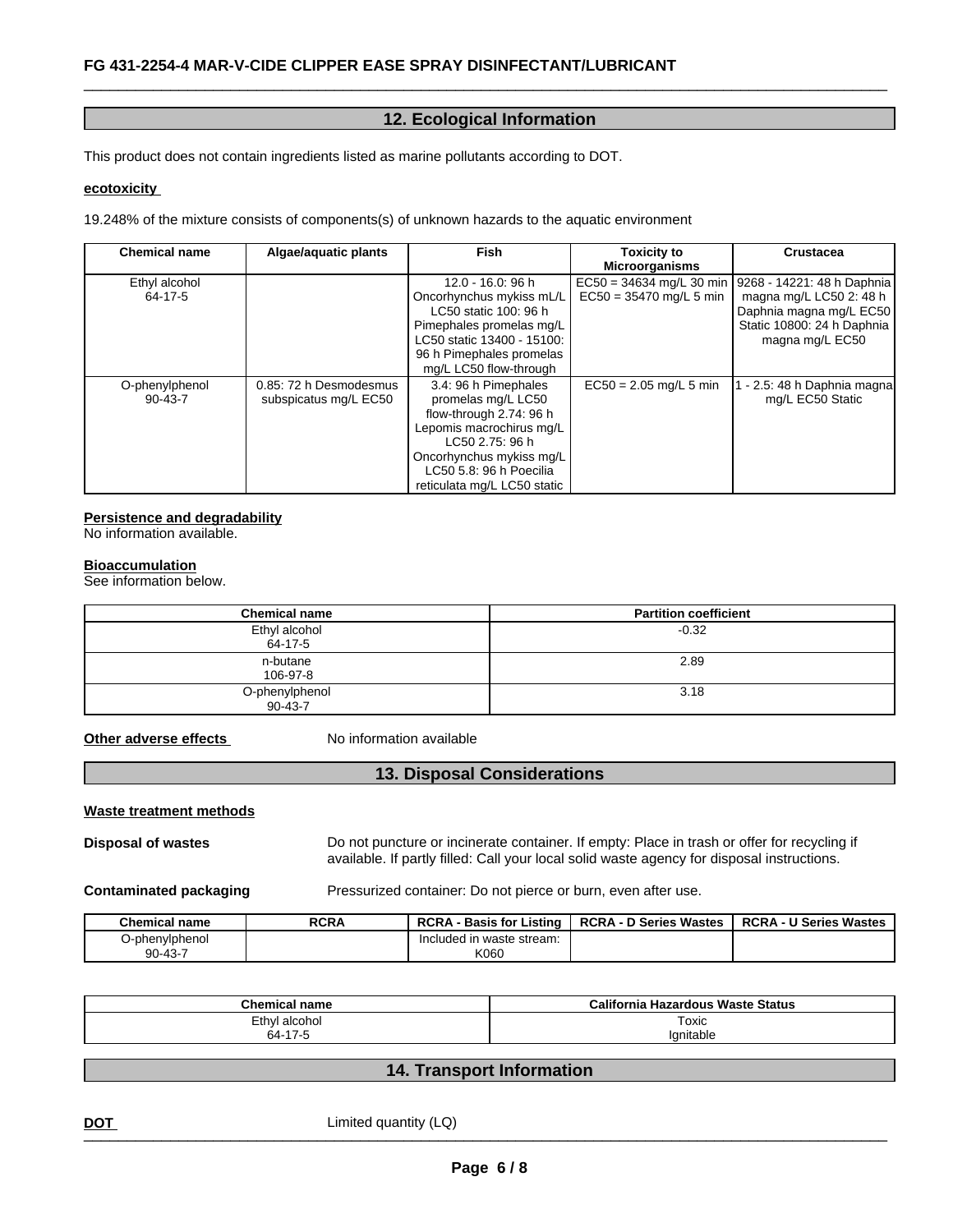# **12. Ecological Information**

 $\overline{\phantom{a}}$  ,  $\overline{\phantom{a}}$  ,  $\overline{\phantom{a}}$  ,  $\overline{\phantom{a}}$  ,  $\overline{\phantom{a}}$  ,  $\overline{\phantom{a}}$  ,  $\overline{\phantom{a}}$  ,  $\overline{\phantom{a}}$  ,  $\overline{\phantom{a}}$  ,  $\overline{\phantom{a}}$  ,  $\overline{\phantom{a}}$  ,  $\overline{\phantom{a}}$  ,  $\overline{\phantom{a}}$  ,  $\overline{\phantom{a}}$  ,  $\overline{\phantom{a}}$  ,  $\overline{\phantom{a}}$ 

This product does not contain ingredients listed as marine pollutants according to DOT.

### **ecotoxicity**

19.248% of the mixture consists of components(s) of unknown hazards to the aquatic environment

| <b>Chemical name</b>            | Algae/aquatic plants                            | Fish                                                                                                                                                                                                       | <b>Toxicity to</b><br><b>Microorganisms</b> | <b>Crustacea</b>                                                                                                                                               |
|---------------------------------|-------------------------------------------------|------------------------------------------------------------------------------------------------------------------------------------------------------------------------------------------------------------|---------------------------------------------|----------------------------------------------------------------------------------------------------------------------------------------------------------------|
| Ethyl alcohol<br>64-17-5        |                                                 | 12.0 - 16.0: 96 h<br>Oncorhynchus mykiss mL/L<br>LC50 static 100: 96 h<br>Pimephales promelas mg/L<br>LC50 static 13400 - 15100:<br>96 h Pimephales promelas<br>mg/L LC50 flow-through                     | $EC50 = 35470$ mg/L 5 min                   | $EC50 = 34634$ mg/L 30 min   9268 - 14221: 48 h Daphnia<br>magna mg/L LC50 2: 48 h<br>Daphnia magna mg/L EC50<br>Static 10800: 24 h Daphnia<br>magna mg/L EC50 |
| O-phenylphenol<br>$90 - 43 - 7$ | 0.85: 72 h Desmodesmus<br>subspicatus mg/L EC50 | 3.4: 96 h Pimephales<br>promelas mg/L LC50<br>flow-through 2.74: 96 h<br>Lepomis macrochirus mg/L<br>LC50 2.75: 96 h<br>Oncorhynchus mykiss mg/L<br>LC50 5.8: 96 h Poecilia<br>reticulata mg/L LC50 static | $EC50 = 2.05$ mg/L 5 min                    | - 2.5: 48 h Daphnia magna<br>mg/L EC50 Static                                                                                                                  |

#### **Persistence and degradability**

No information available.

#### **Bioaccumulation**

See information below.

| <b>Chemical name</b>            | <b>Partition coefficient</b> |
|---------------------------------|------------------------------|
| Ethyl alcohol<br>64-17-5        | $-0.32$                      |
| n-butane<br>106-97-8            | 2.89                         |
| O-phenylphenol<br>$90 - 43 - 7$ | 3.18                         |

**Other adverse effects** No information available

# **13. Disposal Considerations**

#### **Waste treatment methods**

**Disposal of wastes** Do not puncture or incinerate container. If empty: Place in trash or offer for recycling if available. If partly filled: Call your local solid waste agency for disposal instructions.

**Contaminated packaging Pressurized container: Do not pierce or burn, even after use.** 

| <b>Chemical name</b>            | <b>RCRA</b> | <b>RCRA</b><br><b>Basis for Listing</b> | <b>RCRA - D Series Wastes</b> | <b>RCRA - U Series Wastes</b> |
|---------------------------------|-------------|-----------------------------------------|-------------------------------|-------------------------------|
| ⊃-phenvlphenol<br>$90 - 43 - 7$ |             | Included in waste stream:<br>K060       |                               |                               |

| Chemica<br>ˈname                                           | California<br>Hazardous Waste Status |
|------------------------------------------------------------|--------------------------------------|
| Ethyl alcohol                                              | Toxic                                |
| $\rightarrow$<br>64-<br>$\overline{\phantom{a}}$<br>' / -: | 'anıtable                            |

# **14. Transport Information**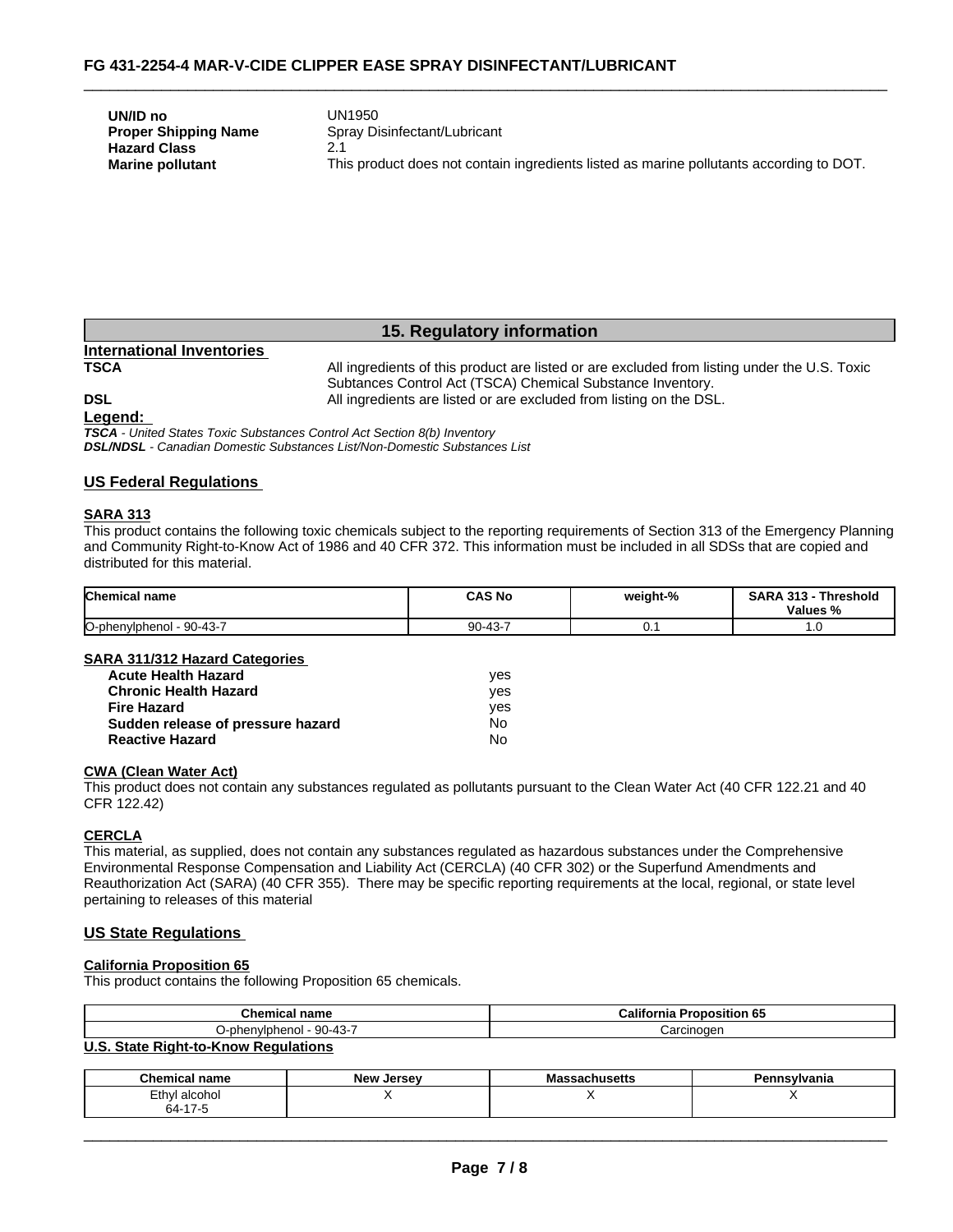| UN/ID no                    | UN1950                                                                                  |
|-----------------------------|-----------------------------------------------------------------------------------------|
| <b>Proper Shipping Name</b> | Spray Disinfectant/Lubricant                                                            |
| <b>Hazard Class</b>         |                                                                                         |
| <b>Marine pollutant</b>     | This product does not contain ingredients listed as marine pollutants according to DOT. |

# **15. Regulatory information**

# **International Inventories**

All ingredients of this product are listed or are excluded from listing under the U.S. Toxic Subtances Control Act (TSCA) Chemical Substance Inventory. **DSL COLL COLL COLL All ingredients are listed or are excluded from listing on the DSL.** 

 $\overline{\phantom{a}}$  ,  $\overline{\phantom{a}}$  ,  $\overline{\phantom{a}}$  ,  $\overline{\phantom{a}}$  ,  $\overline{\phantom{a}}$  ,  $\overline{\phantom{a}}$  ,  $\overline{\phantom{a}}$  ,  $\overline{\phantom{a}}$  ,  $\overline{\phantom{a}}$  ,  $\overline{\phantom{a}}$  ,  $\overline{\phantom{a}}$  ,  $\overline{\phantom{a}}$  ,  $\overline{\phantom{a}}$  ,  $\overline{\phantom{a}}$  ,  $\overline{\phantom{a}}$  ,  $\overline{\phantom{a}}$ 

#### **Legend:**

*TSCA - United States Toxic Substances Control Act Section 8(b) Inventory DSL/NDSL - Canadian Domestic Substances List/Non-Domestic Substances List*

# **US Federal Regulations**

#### **SARA 313**

This product contains the following toxic chemicals subject to the reporting requirements of Section 313 of the Emergency Planning and Community Right-to-Know Act of 1986 and 40 CFR 372. This information must be included in all SDSs that are copied and distributed for this material.

| <b>Chemical name</b>        | <b>CAS No</b>              | weight-% | <b>SARA</b><br>-949<br>`hreshold<br>. .<br>Values<br>% |
|-----------------------------|----------------------------|----------|--------------------------------------------------------|
| O-phenylphenol<br>$90-43-7$ | $\sqrt{2}$<br>ററ<br>JU-43- | v.       | ٥                                                      |

### **SARA 311/312 Hazard Categories**

| <b>Acute Health Hazard</b>        | ves |  |
|-----------------------------------|-----|--|
| <b>Chronic Health Hazard</b>      | ves |  |
| <b>Fire Hazard</b>                | ves |  |
| Sudden release of pressure hazard | N٥  |  |
| <b>Reactive Hazard</b>            | N٥  |  |

### **CWA (Clean Water Act)**

This product does not contain any substances regulated as pollutants pursuant to the Clean Water Act (40 CFR 122.21 and 40 CFR 122.42)

### **CERCLA**

This material, as supplied, does not contain any substances regulated as hazardous substances under the Comprehensive Environmental Response Compensation and Liability Act (CERCLA) (40 CFR 302) or the Superfund Amendments and Reauthorization Act (SARA) (40 CFR 355). There may be specific reporting requirements at the local, regional, or state level pertaining to releases of this material

# **US State Regulations**

## **California Proposition 65**

This product contains the following Proposition 65 chemicals.

| Chemical<br>name                        | $\sim$<br>California<br>oposition 65 |  |
|-----------------------------------------|--------------------------------------|--|
| $90 - 43 - 7$<br>enviphenol<br><b>.</b> | Carcinogen                           |  |
| $\mathbf{H} \cdot \mathbf{A}$           |                                      |  |

#### **U.S. State Right-to-Know Regulations**

| $\sim$<br><b>Chemical name</b> | <b>New</b><br>. Jersev | sacnusens | - פ<br>`nsylvania<br>спп |
|--------------------------------|------------------------|-----------|--------------------------|
| ∠thyl<br>alcohol               |                        |           |                          |
| $\rightarrow$<br>ົ<br>74-      |                        |           |                          |